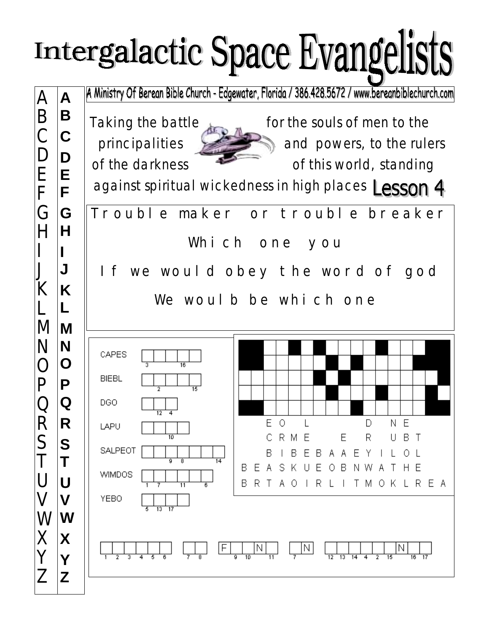## Intergalactic Space Evangelists

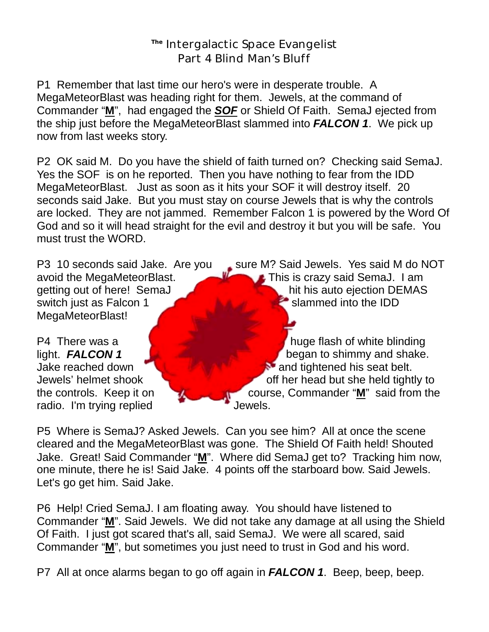## **The** Intergalactic Space Evangelist Part 4 Blind Man's Bluff

P1 Remember that last time our hero's were in desperate trouble. A MegaMeteorBlast was heading right for them. Jewels, at the command of Commander "**M**", had engaged the *SOF* or Shield Of Faith. SemaJ ejected from the ship just before the MegaMeteorBlast slammed into *FALCON 1*. We pick up now from last weeks story.

P2 OK said M. Do you have the shield of faith turned on? Checking said SemaJ. Yes the SOF is on he reported. Then you have nothing to fear from the IDD MegaMeteorBlast. Just as soon as it hits your SOF it will destroy itself. 20 seconds said Jake. But you must stay on course Jewels that is why the controls are locked. They are not jammed. Remember Falcon 1 is powered by the Word Of God and so it will head straight for the evil and destroy it but you will be safe. You must trust the WORD.

switch just as Falcon 1 slammed into the IDD MegaMeteorBlast!

radio. I'm trying replied Jewels.

P3 10 seconds said Jake. Are you sure M? Said Jewels. Yes said M do NOT avoid the MegaMeteorBlast. This is crazy said SemaJ. I am getting out of here! SemaJ **hit his auto ejection DEMAS** 

P4 There was a **huge flash of white blinding** light. **FALCON 1 began to shimmy and shake.** Jake reached down **and tightened his seat belt.** Jake reached down Jewels' helmet shook the controls. Keep it on course, Commander "**M**" said from the

P5 Where is SemaJ? Asked Jewels. Can you see him? All at once the scene cleared and the MegaMeteorBlast was gone. The Shield Of Faith held! Shouted Jake. Great! Said Commander "**M**". Where did SemaJ get to? Tracking him now, one minute, there he is! Said Jake. 4 points off the starboard bow. Said Jewels. Let's go get him. Said Jake.

P6 Help! Cried SemaJ. I am floating away. You should have listened to Commander "**M**". Said Jewels. We did not take any damage at all using the Shield Of Faith. I just got scared that's all, said SemaJ. We were all scared, said Commander "**M**", but sometimes you just need to trust in God and his word.

P7 All at once alarms began to go off again in *FALCON 1*. Beep, beep, beep.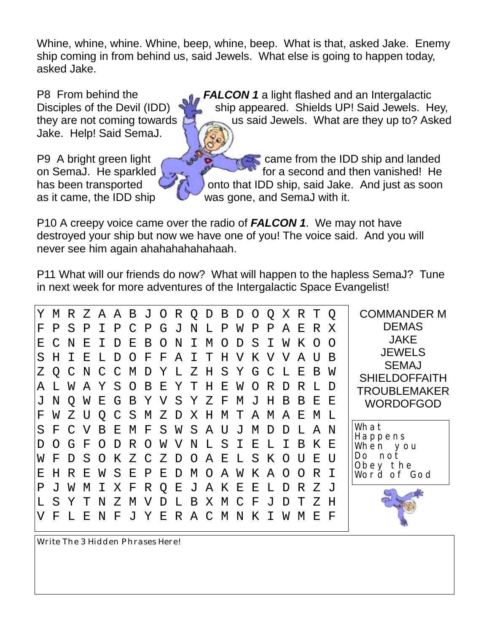Whine, whine, whine. Whine, beep, whine, beep. What is that, asked Jake. Enemy ship coming in from behind us, said Jewels. What else is going to happen today, asked Jake.

Jake. Help! Said SemaJ.

P8 From behind the **FALCON 1** a light flashed and an Intergalactic Disciples of the Devil (IDD) ship appeared. Shields UP! Said Jewels. Hey, they are not coming towards  $\Box$  us said Jewels. What are they up to? Asked

P9 A bright green light  $\sim$   $\sim$   $\sim$   $\sim$  came from the IDD ship and landed on SemaJ. He sparkled  $\sim$  for a second and then vanished! He has been transported  $\Box$  ) onto that IDD ship, said Jake. And just as soon as it came, the IDD ship was gone, and SemaJ with it.

P10 A creepy voice came over the radio of *FALCON 1*. We may not have destroyed your ship but now we have one of you! The voice said. And you will never see him again ahahahahahahaah.

P11 What will our friends do now? What will happen to the hapless SemaJ? Tune in next week for more adventures of the Intergalactic Space Evangelist!

| Υ  | М                | R.            |    |           |    |               |              |              |              |             |       |              | ZAABJORQDBDOQ |              |              |          | X R T Q  |           |           | <b>COMMANDER M</b>                                                           |
|----|------------------|---------------|----|-----------|----|---------------|--------------|--------------|--------------|-------------|-------|--------------|---------------|--------------|--------------|----------|----------|-----------|-----------|------------------------------------------------------------------------------|
| F  | Ρ                | S             | Ρ  | T.        | P  | $\mathcal{C}$ | $\mathbf{P}$ |              | G J          | N L P       |       |              | W             | $\mathbf{P}$ | Ρ            | Α        | Е        | R         | X         | <b>DEMAS</b>                                                                 |
| Ε  | $\subset$        | N             | E. | Τ         | D  | E             | B            | $\bigcap$    | N            | T           | M     | $\Omega$     | D             | S.           | $\top$       | W        | K        | $\bigcap$ | $\bigcap$ | <b>JAKE</b>                                                                  |
| S  | H.               | T             | Е  | т.        | D  | $\Omega$      | F            | $\mathbf F$  | A            | $\mathbf I$ | T     | H            | V             | Κ            | V            | V        | A        | Π         | В         | <b>JEWELS</b><br><b>SEMAJ</b><br><b>SHIELDOFFAITH</b><br><b>TROUBLEMAKER</b> |
| Z. | $\circ$          | $\mathcal{C}$ |    | N C C     |    | M             | $\mathbb D$  | Υ            | L            | Z           |       |              | H S Y G C     |              |              | L        | Е        | B         | W         |                                                                              |
| A  |                  | W             | A  | Y         | S  | $\circ$       | B            | E            | Y            | Т           | Η     | Ε            | W             | $\Omega$     | R            | D        | R        | T.        | D         |                                                                              |
|    | N                | Q             | W  | Е         | G  | $\mathbf B$   | Υ            | $\rm V$      |              | S Y Z       |       | $\mathbf{F}$ | M J           |              | H            | B        | B        | Е         | Е         | <b>WORDOFGOD</b>                                                             |
| F  | W                | Z.            | U  | O         |    | S             | M            | Ζ            | $\mathbf D$  |             | X H M |              | Т             |              | A M          | Α        | Е        | M         | . т.      |                                                                              |
| S  | F                | $\Gamma$      | V  | B         | Е  | M             | $\mathbf{F}$ | S.           | W            | S.          | A     | U            | J             | M            | $\mathbf D$  | D        | L        | A         | N         | What                                                                         |
|    | $\left( \right)$ | G             | F  | $\bigcap$ | D  | R             | $\circ$      | W            | V            | N           | L     | S.           | $\perp$       | $\mathbf{E}$ | $\mathbf{L}$ | $\top$   | B.       | K         | F.        | Happens<br>When you                                                          |
| W  | F                | D.            | S  | $\circ$   | K  |               | Z C          | Z            | D O          |             | A E   |              | $\mathbf{L}$  | S.           | K            | $\circ$  | U        | Е         | ΤJ        | Do not<br>Obey the                                                           |
| E  | Н                | R             | Е  | W         | S. | $\mathbf{E}$  | $\mathbf{P}$ | $\mathbf{E}$ | D M O A W    |             |       |              |               | K            | $\mathsf{A}$ | $\Omega$ | $\Omega$ | R         |           | Word of God                                                                  |
| Ρ  | J                | W             | М  | I         | Χ  | F             | R            | Q            | Е            | J           |       | A K          | 一E            | Е            | L            | D        | R        | Z J       |           |                                                                              |
|    | S                | Y             | т  | N         | Z  | М             | V            | D            | $\mathbf{L}$ | B           | Χ     | M            | $\mathcal{C}$ | F            | ٠J           | D        | Т        | Z         | Н         |                                                                              |
| V  | F                |               | E  | N         | F  | T.            | Y            | Е            | R            |             | A C   | M            | N             | Κ            |              | M        | M        | F.        | F         |                                                                              |

Write The 3 Hidden Phrases Here!